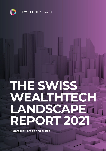

# **THE SWISS WEALTHTECH LANDSCAPE REPORT 2021**

**Kidbrooke® article and profile**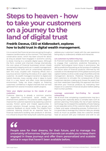# **Steps to heaven - how to take your customers on a journey to the land of digital trust**

# **Fredrik Daveus, CEO at Kidbrooke®, explores how to build trust in digital wealth management.**

It is no secret that financial services are going through a massive transformation at the moment. This historically conservative sector, which has been around for about as long as people have engaged in economic activity, is slowly moving to a versatile digital space. Although the form, context and channels change dramatically, the core values of financial businesses remain closely connected to integrity and trust. In wealth management, decades of hard work and an untarnished reputation earn this trust, coupled with imposing offices and a luxurious service matching the status of an upper-class customer. As wealth managers transition to digital and hybrid channels, many wonder what it takes to build trust in a new, leaner and often more democratized environment. Today we share insights on fostering customers' confidence in digital channels that we have gathered from several innovative wealth projects.

# **Tailor your digital journeys to the needs of your customers**

Customer listening is already a common practice on digital-first e-commerce, social media, and entertainment platforms. This practice seeks insights to improve the customer experience by exploring customer success, friction points and missed opportunities in current solutions through surveys, focus groups and customer feedback on social media. The insights from customer listening should be an essential input for financial institutions building new products or services. It is critical to ensure that newly-built customer journeys

address your customers' needs with the user experience being easy to understand, reliable and interactive.

# **Let customers try before they buy**

As financial businesses explore data-driven approaches to engage their customers, predictive forecasting is another technological trend rising in prominence. We define predictive forecasting as the process of modelling the future value of financial products informed by the outlooks on the development of the global economy and capital markets, to drive a wide range of portfolio and risk management decisions. Predictive forecasting allows end customers to simulate the consequences of their investment decision-making and choose the assets that suit their needs best. Essentially, this approach lets them test-drive your financial products by evaluating their impact on a customer's financial situation before adding them to their portfolio.

# **Leverage automated fact-finding for smooth onboarding**

We all know that completing a questionnaire may be a daunting task, especially about a complex topic such as pension planning. Fortunately, the rise of open banking technology has increased the availability of tools helping to pre-populate some of the customer data, allowing for a faster and easier onboarding process. Furthermore, it is a good idea to leverage the customer data you already know as much as possible. Does the customer already have an account with your institution and wish to use

 $66$ 

**People save for their dreams, for their future, and to manage the uncertainty of tomorrow. Digital channels can enable you to keep them engaged in these journeys and offer them personalized and scalable advice in ways that haven't been available before.**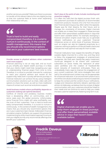another service you provide? Make sure there is a process to transfer all the relevant data to the new digital journey so that the customer feels at home when expanding their relationship with you.

# 66

**Trust is hard to build and easily compromised; therefore, it is crucial to nurture it continuously. In the context of wealth management, this means that you should only recommend options that are in your customers' best interest.**

# **Provide access to physical advisors when customers want more support**

Financial planning is not an easy task, and as much as you simplify your digital wealth journeys, it is likely that your clients might need help navigating your app or understanding financial jargon from time to time. Therefore, it is critical to provide channels for customers to reach your physical advisors and receive all the support they need, even in purely self-service journeys. A financial institution can achieve this by using intelligent communication solutions such as chats, video calls with options to share the screen, as well as more traditional means of contact such as email and phone support.

# **Avoid business models where profitability depends on customers making sub-optimal decisions**

Conflicts of interest and predatory business models have a devastating effect on communities, and in some cases even the global economy. Unfortunately, some financial firms might still value profitability over the trust of their customers. Trust is hard to build and easily compromised; therefore, it is crucial to nurture it continuously. In the context of wealth management, this means that you should only recommend options that are in your customers' best interest. Kidbrooke's financial simulation engine, OutRank, can support this process by implementing its utility maximization approach to ensure that your digital journey only recommends offerings that benefit your customers.

## **Don't stop at the point-of-sale; include monitoring and proactive nudging**

It is often the case that the digital journeys finish with the customer's purchase of a selection of recommended investment products. However, this is far from the end of their financial planning journey, often rather the opposite. People save for their dreams, for their future, and to manage the uncertainty of tomorrow. Digital channels can enable you to keep them engaged in these journeys and offer them personalized, scalable advice in ways that haven't been available before. For example, leveraging a financial simulation engine could help you to generate relevant notifications on your customers' financial milestones across an entire book of business. Moreover, such an engine can also be triggered proactively by a customer wishing to perform a financial health check and evaluate the most optimal next step for them to take.

Financial institutions have reaped the benefits of highly scalable digital channels for a while now, and they tend to follow the engagement strategies of entertainment companies. We have seen Spotify-like yearly investment round-ups designed to be shared with customers' subscribers on social media, the replication of other users' portfolios and the creation of Facebook-like social networks of investment enthusiasts. There are undoubtedly many ways to improve the engagement of your current customers. Still, some strategies that work well in the entertainment context may not be appropriate for a financial institution. In an environment where trust is one of the core values constituting your brand, it is essential to keep the context and the content of your notifications, nudges and interactive elements relevant, seamless and ethical. At Kidbrooke, we believe that the context of digital communication with your customers should be linked to their needs and we continue to work to help you create the best customer experiences, fostering long-term trust.

**Digital channels can enable you to keep them engaged in these journeys and offer them personalized, scalable advice in ways that haven't been available before.**



# **Fredrik Daveus**

CEO at Kidbrooke® Stockholm, Sweden

E: fredrik.daveus@kidbrooke.com T: +46 870 899 20

 $\ddot{\mathbf{0}}$ 

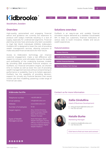

**Stockholm, Sweden**

# **Overview**

High-quality, personalized and engaging financial advice and guidance are currently too expensive to produce with today's methods resulting in a lack of supply, especially for underserved segments. Financial planning services have previously only been accessible to High Net Worth Individuals (HNWIs). Kidbrooke's OutRank API is designed to lower the cost of providing wealth management services, allowing everyone to make educated financial decisions for their future.

Access to Kidbrooke's technology can improve customer engagement, make a real difference with respect to inclusion and ultimately improve the quality and profitability of the underlying business models. By providing B2B automated financial analytics via OutRank, our financial simulation engine, we shorten time to market as well as lower the cost of providing wealth management services without compromising on performance or scalability. Due to its holistic approach, OutRank has the capability of providing decisionsupport for virtually any financial decision that would involve cash flow modelling, powering a wide range of financial use cases.

# **Solutions overview**

OutRank is an easy-to-use and scalable financial simulation engine delivered as a stateless Cloud-based API. It helps our customers, financial institutions of various sizes to build innovative, reliable and secure wealth experiences.

CE&M DP&T IP&T PBA&R RA&M

## **Featured solutions**

| <b>Pension Planning</b>                |                                                          |  |  |
|----------------------------------------|----------------------------------------------------------|--|--|
| <b>Credit and Mortgage Analytics</b>   |                                                          |  |  |
| <b>Holistic Financial Planning</b>     |                                                          |  |  |
| <b>Short-to-Medium Term Savings</b>    |                                                          |  |  |
|                                        |                                                          |  |  |
|                                        |                                                          |  |  |
|                                        |                                                          |  |  |
|                                        |                                                          |  |  |
|                                        |                                                          |  |  |
| <b>Contact us for more information</b> |                                                          |  |  |
|                                        |                                                          |  |  |
|                                        | <b>Zalija Gindullina</b>                                 |  |  |
|                                        | <b>Head of Business Development</b>                      |  |  |
|                                        | E: zaliia.gindullina@kidbrooke.com<br>T: +46 700 407 845 |  |  |
|                                        |                                                          |  |  |
|                                        | <b>Natalie Burke</b>                                     |  |  |
|                                        | <b>Marketing Manager</b>                                 |  |  |
|                                        | E: natalie.burke@kidbrooke.com<br>T: +46 735 004 073     |  |  |
|                                        |                                                          |  |  |
|                                        | Click here to find out more and connect                  |  |  |

# **Kidbrooke factfile**

| Telephone number                          | +46 870 899 20                                                                                                                 |
|-------------------------------------------|--------------------------------------------------------------------------------------------------------------------------------|
| Email address                             | info@kidbrooke.com                                                                                                             |
| Website                                   | www.kidbrooke.com                                                                                                              |
| Number of employees                       | $10 - 50$                                                                                                                      |
| Target regions                            | Asia, Central America,<br>Eastern Europe, Middle<br>East, North America,<br><b>Western Europe</b>                              |
| <b>Types of Wealth</b><br>Managers served | Asset Managers, Bank<br>Wealth Managers, Family<br>Offices, Financial Advisors,<br>Insurance-Based, Digital<br>Wealth Platform |

# **Contact us for more information**







# **Natalie Burke** Marketing Manager